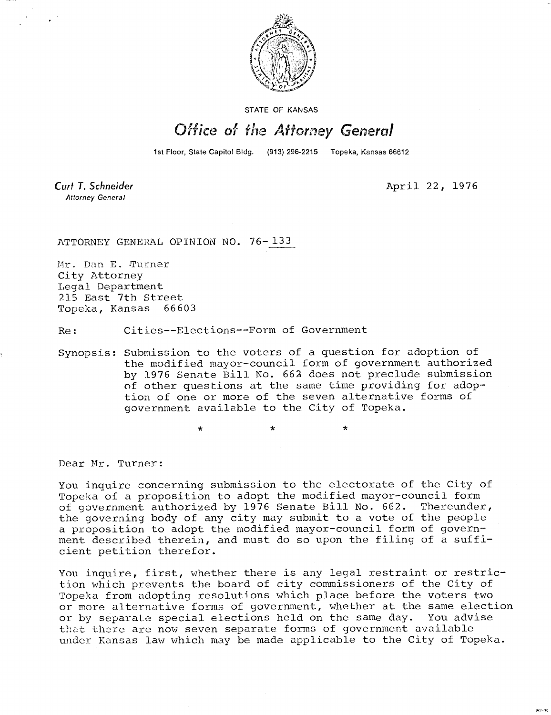

STATE OF KANSAS

## Office of the Attorney General

1st Floor, State Capitol Bldg. (913) 296-2215 Topeka, Kansas 66612

Curt T. Schneider **Attorney General** 

April 22, 1976

er. se

ATTORNEY GENERAL OPINION NO. 76-133

Mr. Dan E. Turner City Attorney Legal Department 215 East 7th Street<br>Topeka, Kansas 66603 Topeka, Kansas

Re: Cities--Elections--Form of Government

Synopsis: Submission to the voters of a question for adoption of the modified mayor-council form of government authorized by 1976 Senate Bill No. 662 does not preclude submission of other questions at the same time providing for adoption of one or more of the seven alternative forms of government available to the City of Topeka.

 $\star$ 

Dear Mr. Turner:

You inquire concerning submission to the electorate of the City of Topeka of a proposition to adopt the modified mayor-council form of government authorized by 1976 Senate Bill No. 662. Thereunder, the governing body of any city may submit to a vote of the people a proposition to adopt the modified mayor-council form of government described therein, and must do so upon the filing of a sufficient petition therefor.

You inquire, first, whether there is any legal restraint or restriction which prevents the board of city commissioners of the City of Topeka from adopting resolutions which place before the voters two or more alternative forms of government, whether at the same election or by separate special elections held on the same day. You advise that there are now seven separate forms of government available under Kansas law which may be made applicable to the City of Topeka.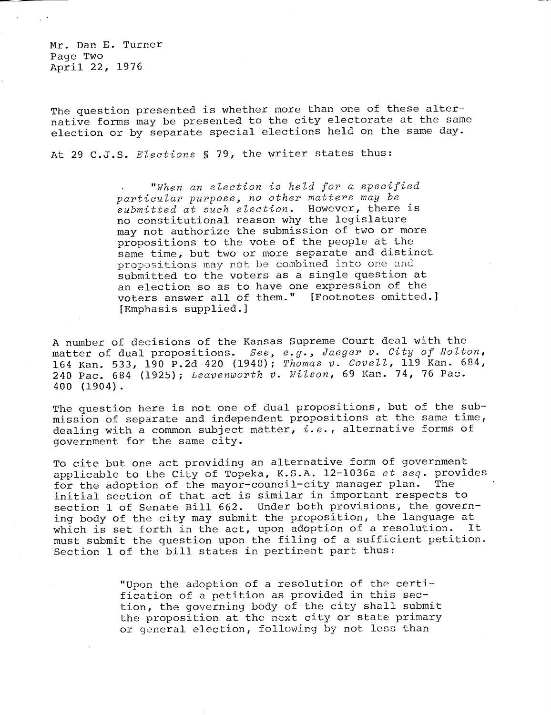Mr. Dan E. Turner Page Two April 22, 1976

The question presented is whether more than one of these alternative forms may be presented to the city electorate at the same election or by separate special elections held on the same day.

At 29 C.J.S. Elections § 79, the writer states thus:

"When an election is held for a specified particular purpose, no other matters may be submitted at such election. However, there is no constitutional reason why the legislature may not authorize the submission of two or more propositions to the vote of the people at the same time, but two or more separate and distinct propositions may not be combined into one and submitted to the voters as a single question at an election so as to have one expression of the voters answer all of them." [Footnotes omitted.] [Emphasis supplied.]

A number of decisions of the Kansas Supreme Court deal with the matter of dual propositions. See, e.g., Jaeger v. City of Holton, 164 Kan. 533, 190 P.2d 420 (1948); Thomas v. Covell, 119 Kan. 684, 240 Pac. 684 (1925); Leavenworth v. Wilson, 69 Kan. 74, 76 Pac. 400 (1904).

The question here is not one of dual propositions, but of the submission of separate and independent propositions at the same time, dealing with a common subject matter,  $i.e.$ , alternative forms of government for the same city.

To cite but one act providing an alternative form of government applicable to the City of Topeka, K.S.A. 12-1036a  $et$   $seq$ . provides for the adoption of the mayor-council-city manager plan. The for the adoption of the mayor-council-city manager plan. initial section of that act is similar in important respects to section 1 of Senate Bill 662. Under both provisions, the governing body of the city may submit the proposition, the language at<br>which is set forth in the act, upon adoption of a resolution. It which is set forth in the act, upon adoption of a resolution. must submit the question upon the filing of a sufficient petition. Section 1 of the bill states in pertinent part thus:

> "Upon the adoption of a resolution of the certification of a petition as provided in this section, the governing body of the city shall submit the proposition at the next city or state primary or general election, following by not less than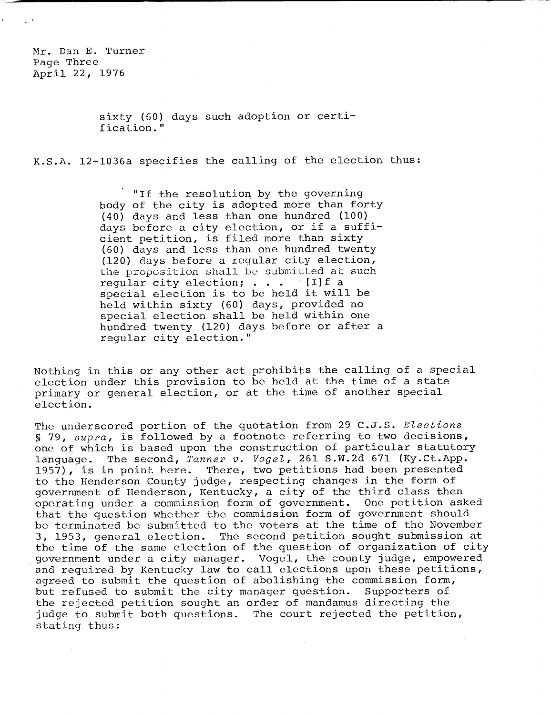Mr. Dan E. Turner Page Three April 22, 1976

> sixty (60) days such adoption or certification."

K.S.A. 12-1036a specifies the calling of the election thus:

"If the resolution by the governing body of the city is adopted more than forty (40) days and less than one hundred (100) days before a city election, or if a sufficient petition, is filed more than sixty (60) days and less than one hundred twenty (120) days before a regular city election, the proposition shall be submitted at such regular city election;  $\ldots$  [I] f a special election is to be held it will be held within sixty (60) days, provided no special election shall be held within one hundred twenty (120) days before or after a regular city election."

Nothing in this or any other act prohibits the calling of a special election under this provision to be held at the time of a state primary or general election, or at the time of another special election.

The underscored portion of the quotation from 29 C.J.S. Elections § 79, supra, is followed by a footnote referring to two decisions, one of which is based upon the construction of particular statutory language. The second, Tanner v. Vogel, 261 S.W.2d 671 (Ky.Ct.App. 1957), is in point here. There, two petitions had been presented to the Henderson County judge, respecting changes in the form of government of Henderson, Kentucky, a city of the third class then operating under a commission form of government. One petition asked that the question whether the commission form of government should be terminated be submitted to the voters at the time of the November 3, 1953, general election. The second petition sought submission at the time of the same election of the question of organization of city government under a city manager. Vogel, the county judge, empowered and required by Kentucky law to call elections upon these petitions, agreed to submit the question of abolishing the commission form, but refused to submit the city manager question. Supporters of the rejected petition sought an order of mandamus directing the judge to submit both questions. The court rejected the petition, stating thus: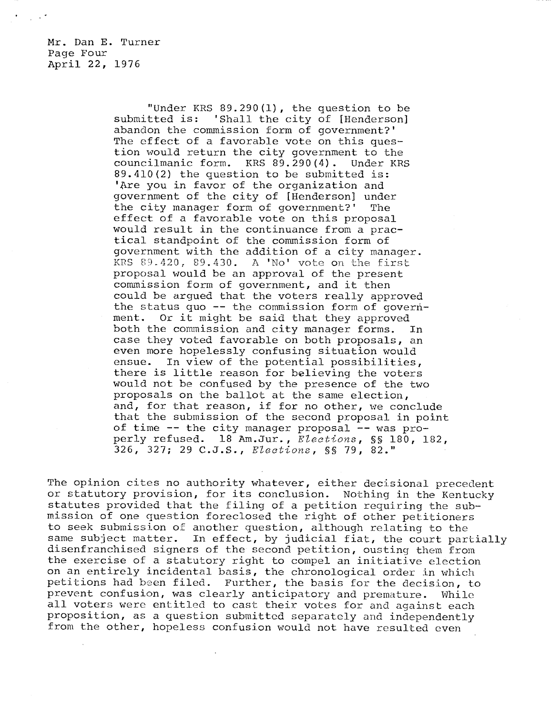Mr. Dan E. Turner Page Four April 22, 1976

> "Under KRS 89.290(1), the question to be submitted is: 'Shall the city of [Henderson] abandon the commission form of government?' The effect of a favorable vote on this question would return the city government to the councilmanic form. KRS 89.290(4). Under KRS 89.410(2) the question to be submitted is: 'Are you in favor of the organization and government of the city of [Henderson] under the city manager form of government?' The effect of a favorable vote on this proposal would result in the continuance from a practical standpoint of the commission form of government with the addition of a city manager. KRS 89.420, 89.430. A 'No' vote on the first proposal would be an approval of the present commission form of government, and it then could be argued that the voters really approved the status quo -- the commission form of government. Or it might be said that they approved both the commission and city manager forms. In case they voted favorable on both proposals, an even more hopelessly confusing situation would ensue. In view of the potential possibilities, there is little reason for believing the voters would not be confused by the presence of the two proposals on the ballot at the same election, and, for that reason, if for no other, we conclude that the submission of the second proposal in point of time -- the city manager proposal -- was properly refused. 18 Am.Jur., Elections, §§ 180, 182, 326, 327; 29 C.J.S., Elections, §§ 79, 82."

The opinion cites no authority whatever, either decisional precedent or statutory provision, for its conclusion. Nothing in the Kentucky statutes provided that the filing of a petition requiring the submission of one question foreclosed the right of other petitioners to seek submission of another question, although relating to the same subject matter. In effect, by judicial fiat, the court partially disenfranchised signers of the second petition, ousting them from the exercise of a statutory right to compel an initiative election on an entirely incidental basis, the chronological order in which petitions had been filed. Further, the basis for the decision, to prevent confusion, was clearly anticipatory and premature. While all voters were entitled to cast their votes for and against each proposition, as a question submitted separately and independently from the other, hopeless confusion would not have resulted even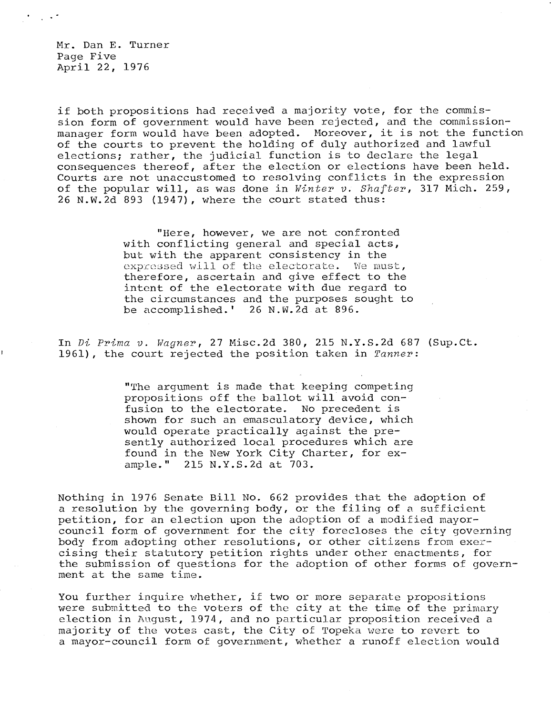Mr. Dan E. Turner Page Five April 22, 1976

if both propositions had received a majority vote, for the commission form of government would have been rejected, and the commissionmanager form would have been adopted. Moreover, it is not the function of the courts to prevent the holding of duly authorized and lawful elections; rather, the judicial function is to declare the legal consequences thereof, after the election or elections have been held. Courts are not unaccustomed to resolving conflicts in the expression of the popular will, as was done in Winter v. Shafter, 317 Mich. 259, 26 N.W.2d 893 (1947), where the court stated thus:

> "Here, however, we are not confronted with conflicting general and special acts, but with the apparent consistency in the expressed will of the electorate. We must, therefore, ascertain and give effect to the intent of the electorate with due regard to the circumstances and the purposes sought to be accomplished.' 26 N.W.2d at 896.

In Di Prima v. Wagner, 27 Misc.2d 380, 215 N.Y.S.2d 687 (Sup.Ct. 1961), the court rejected the position taken in  $Tanner:$ 

> "The argument is made that keeping competing propositions off the ballot will avoid confusion to the electorate. No precedent is shown for such an emasculatory device, which would operate practically against the presently authorized local procedures which are found in the New York City Charter, for example." 215 N.Y.S.2d at 703.

Nothing in 1976 Senate Bill No. 662 provides that the adoption of a resolution by the governing body, or the filing of a sufficient petition, for an election upon the adoption of a modified mayorcouncil form of government for the city forecloses the city governing body from adopting other resolutions, or other citizens from exercising their statutory petition rights under other enactments, for the submission of questions for the adoption of other forms of government at the same time.

You further inquire whether, if two or more separate propositions were submitted to the voters of the city at the time of the primary election in August, 1974, and no particular proposition received a majority of the votes cast, the City of Topeka were to revert to a mayor-council form of government, whether a runoff election would